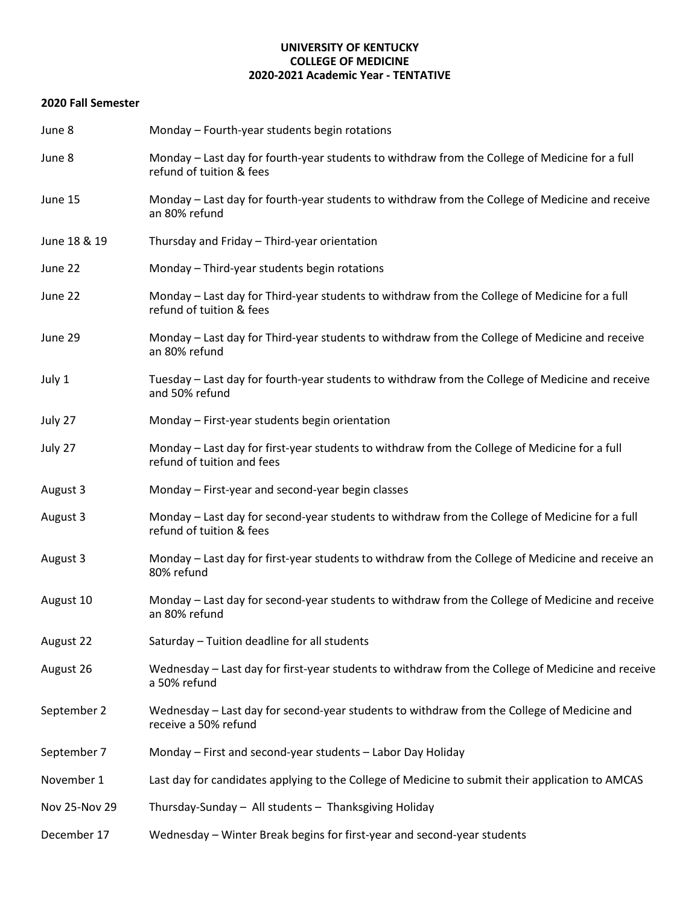## **UNIVERSITY OF KENTUCKY COLLEGE OF MEDICINE 2020-2021 Academic Year - TENTATIVE**

## **2020 Fall Semester**

| June 8        | Monday - Fourth-year students begin rotations                                                                               |
|---------------|-----------------------------------------------------------------------------------------------------------------------------|
| June 8        | Monday - Last day for fourth-year students to withdraw from the College of Medicine for a full<br>refund of tuition & fees  |
| June 15       | Monday - Last day for fourth-year students to withdraw from the College of Medicine and receive<br>an 80% refund            |
| June 18 & 19  | Thursday and Friday - Third-year orientation                                                                                |
| June 22       | Monday - Third-year students begin rotations                                                                                |
| June 22       | Monday - Last day for Third-year students to withdraw from the College of Medicine for a full<br>refund of tuition & fees   |
| June 29       | Monday - Last day for Third-year students to withdraw from the College of Medicine and receive<br>an 80% refund             |
| July 1        | Tuesday - Last day for fourth-year students to withdraw from the College of Medicine and receive<br>and 50% refund          |
| July 27       | Monday - First-year students begin orientation                                                                              |
| July 27       | Monday - Last day for first-year students to withdraw from the College of Medicine for a full<br>refund of tuition and fees |
| August 3      | Monday - First-year and second-year begin classes                                                                           |
| August 3      | Monday - Last day for second-year students to withdraw from the College of Medicine for a full<br>refund of tuition & fees  |
| August 3      | Monday - Last day for first-year students to withdraw from the College of Medicine and receive an<br>80% refund             |
| August 10     | Monday - Last day for second-year students to withdraw from the College of Medicine and receive<br>an 80% refund            |
| August 22     | Saturday - Tuition deadline for all students                                                                                |
| August 26     | Wednesday - Last day for first-year students to withdraw from the College of Medicine and receive<br>a 50% refund           |
| September 2   | Wednesday – Last day for second-year students to withdraw from the College of Medicine and<br>receive a 50% refund          |
| September 7   | Monday - First and second-year students - Labor Day Holiday                                                                 |
| November 1    | Last day for candidates applying to the College of Medicine to submit their application to AMCAS                            |
| Nov 25-Nov 29 | Thursday-Sunday - All students - Thanksgiving Holiday                                                                       |
| December 17   | Wednesday - Winter Break begins for first-year and second-year students                                                     |